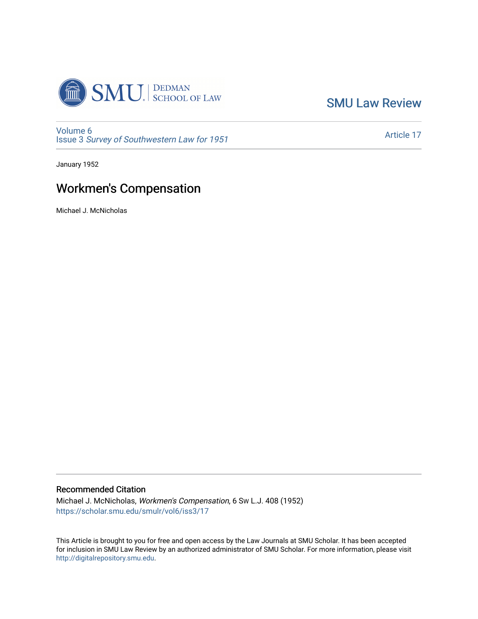

[SMU Law Review](https://scholar.smu.edu/smulr) 

[Volume 6](https://scholar.smu.edu/smulr/vol6) Issue 3 [Survey of Southwestern Law for 1951](https://scholar.smu.edu/smulr/vol6/iss3)

[Article 17](https://scholar.smu.edu/smulr/vol6/iss3/17) 

January 1952

# Workmen's Compensation

Michael J. McNicholas

# Recommended Citation

Michael J. McNicholas, Workmen's Compensation, 6 SW L.J. 408 (1952) [https://scholar.smu.edu/smulr/vol6/iss3/17](https://scholar.smu.edu/smulr/vol6/iss3/17?utm_source=scholar.smu.edu%2Fsmulr%2Fvol6%2Fiss3%2F17&utm_medium=PDF&utm_campaign=PDFCoverPages) 

This Article is brought to you for free and open access by the Law Journals at SMU Scholar. It has been accepted for inclusion in SMU Law Review by an authorized administrator of SMU Scholar. For more information, please visit [http://digitalrepository.smu.edu.](http://digitalrepository.smu.edu/)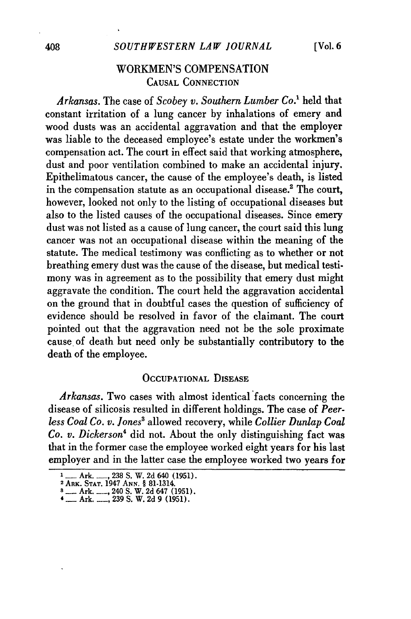# WORKMEN'S COMPENSATION CAUSAL **CONNECTION**

*Arkansas.* The case of *Scobey v. Southern Lumber Co.'* held that constant irritation of a lung cancer by inhalations of emery and wood dusts was an accidental aggravation and that the employer was liable to the deceased employee's estate under the workmen's compensation act. The court in effect said that working atmosphere, dust and poor ventilation combined to make an accidental injury. Epithelimatous cancer, the cause of the employee's death, is listed in the compensation statute as an occupational disease.<sup>2</sup> The court, however, looked not only to the listing of occupational diseases but also to the listed causes of the occupational diseases. Since emery dust was not listed as a cause of lung cancer, the court said this lung cancer was not an occupational disease within the meaning of the statute. The medical testimony was conflicting as to whether or not breathing emery dust was the cause of the disease, but medical testimony was in agreement as to the possibility that emery dust might aggravate the condition. The court held the aggravation accidental on the ground that in doubtful cases the question of sufficiency of evidence should be resolved in favor of the claimant. The court pointed out that the aggravation need not be the sole proximate cause of death but need only be substantially contributory to the death of the employee.

## **OCCUPATIONAL DISEASE**

Arkansas. Two cases with almost identical facts concerning the disease of silicosis resulted in different holdings. The case of *Peerless Coal Co. v. Jones8* allowed recovery, while *Collier Dunlap Coal Co. v. Dickerson4* did not. About the only distinguishing fact was that in the former case the employee worked eight years for his last employer and in the latter case the employee worked two years for

**I\_ Ark. .... , 238 S. W. 2d 640 (1951)**<br> **PARK. STAT. 1947 ANN. § 81-1314.**<br> **8Ark... 240 S. W. 2d 647 (1951).** 

<sup>4</sup> Ark. 239 S. W. 2d **9** (1951).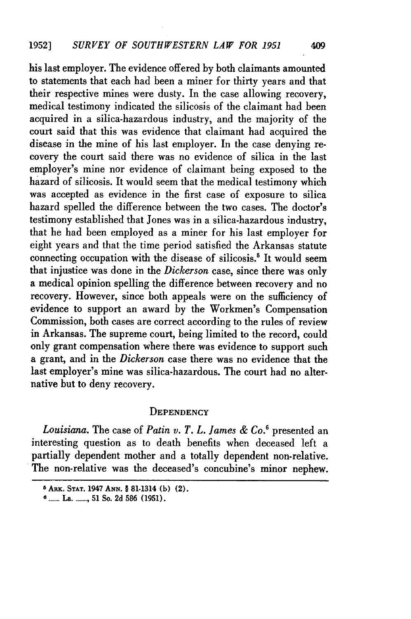his last employer. The evidence offered by both claimants amounted to statements that each had been a miner for thirty years and that their respective mines were dusty. In the case allowing recovery, medical testimony indicated the silicosis of the claimant had been acquired in a silica-hazardous industry, and the majority of the court said that this was evidence that claimant had acquired the disease in the mine of his last employer. In the case denying recovery the court said there was no evidence of silica in the last employer's mine nor evidence of claimant being exposed to the hazard of silicosis. It would seem that the medical testimony which was accepted as evidence in the first case of exposure to silica hazard spelled the difference between the two cases. The doctor's testimony established that Jones was in a silica-hazardous industry, that he had been employed as a miner for his last employer for eight years and that the time period satisfied the Arkansas statute connecting occupation with the disease of silicosis.<sup>5</sup> It would seem that injustice was done in the *Dickerson* case, since there was only a medical opinion spelling the difference between recovery and no recovery. However, since both appeals were on the sufficiency of evidence to support an award by the Workmen's Compensation Commission, both cases are correct according to the rules of review in Arkansas. The supreme court, being limited to the record, could only grant compensation where there was evidence to support such a grant, and in the *Dickerson* case there was no evidence that the last employer's mine was silica-hazardous. The court had no alternative but to deny recovery.

### **DEPENDENCY**

*Louisiana.* The case of *Patin v. T. L. James & Co.6* presented an interesting question as to death benefits when deceased left a partially dependent mother and a totally dependent non-relative. The non-relative was the deceased's concubine's minor nephew.

**<sup>5</sup> ARx. STAT. 1947 ANN.** § 81-1314 **(h) (2).**

**<sup>6</sup> \_\_\_** La. *,* **51 So. 2d 586 (1951).**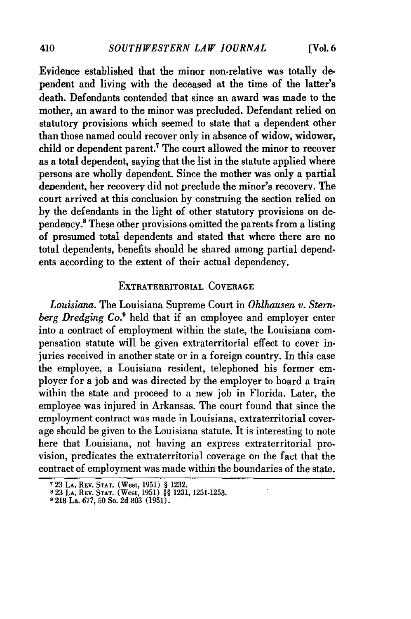[Vol. **6**

Evidence established that the minor non-relative was totally dependent and living with the deceased at the time of the latter's death. Defendants contended that since an award was made to the mother, an award to the minor was precluded. Defendant relied on statutory provisions which seemed to state that a dependent other than those named could recover only in absence of widow, widower, child or dependent parent.' The court allowed the minor to recover as a total dependent, saying that the list in the statute applied where persons are wholly dependent. Since the mother was only a partial dependent, her recovery did not preclude the minor's recovery. The court arrived at this conclusion by construing the section relied on by the defendants in the light of other statutory provisions on dependency.' These other provisions omitted the parents from a listing of presumed total dependents and stated that where there are no total dependents, benefits should be shared among partial dependents according to the extent of their actual dependency.

#### EXTRATERRITORIAL COVERAGE

*Louisiana.* The Louisiana Supreme Court in *Ohihausen v. Sternberg Dredging Co.9* held that if an employee and employer enter into a contract of employment within the state, the Louisiana compensation statute will be given extraterritorial effect to cover injuries received in another state or in a foreign country. In this case the employee, a Louisiana resident, telephoned his former employer for a **job** and was directed by the employer to board a train within the state and proceed to a new **job** in Florida. Later, the employee was injured in Arkansas. The court found that since the employment contract was made in Louisiana, extraterritorial coverage should be given to the Louisiana statute. It is interesting to note here that Louisiana, not having an express extraterritorial provision, predicates the extraterritorial coverage on the fact that the contract of employment was made within the boundaries of the state.

**<sup>723</sup> LA.** Rav. **STAT.** (West, **1951)** § **1232. 8** 23 **LA.** REV. **STAT.** (West, 1951) §§ 1231, **1251-1253.**

**<sup>°218</sup>** La. **677, 50** So. **2d 803 (1951).**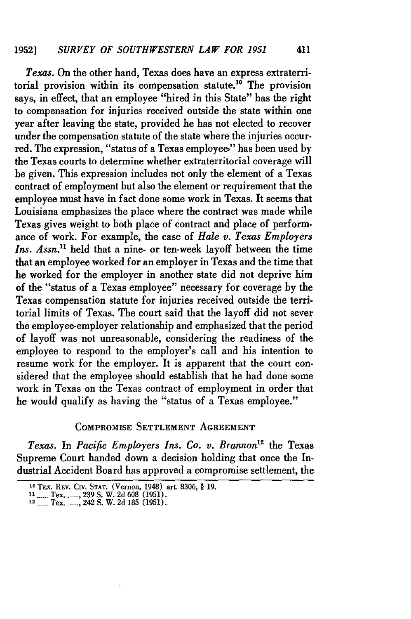*Texas.* On the other hand, Texas does have an express extraterritorial provision within its compensation statute.10 The provision says, in effect, that an employee "hired in this State" has the right to compensation for injuries received outside the state within one year after leaving the state, provided he has not elected to recover under the compensation statute of the state where the injuries occurred. The expression, "status of a Texas employee," has been used by the Texas courts to determine whether extraterritorial coverage will be given. This expression includes not only the element of a Texas contract of employment but also the element or requirement that the employee must have in fact done some work in Texas. It seems that Louisiana emphasizes the place where the contract was made while Texas gives weight to both place of contract and place of performance of work. For example, the case of *Hale v. Texas Employers Ins. Assn."* held that a nine- or ten-week layoff between the time that an employee worked for an employer in Texas and the time that he worked for the employer in another state did not deprive him of the "status of a Texas employee" necessary for coverage by the Texas compensation statute for injuries received outside the territorial limits of Texas. The court said that the layoff did not sever the employee-employer relationship and emphasized that the period of layoff was not unreasonable, considering the readiness of the employee to respond to the employer's call and his intention to resume work for the employer. It is apparent that the court considered that the employee should establish that he had done some work in Texas on the Texas contract of employment in order that he would qualify as having the "status of a Texas employee."

### COMPROMISE **SETTLEMENT AGREEMENT**

*Texas.* In *Pacific Employers Ins. Co. v. Brannon"2* the Texas Supreme Court handed down a decision holding that once the Industrial Accident Board has approved a compromise settlement, the

**<sup>10</sup>TEx. REV.** COv. **STAT.** (Vernon, 1948) art. **8306,** § **19.**

**<sup>------</sup> -1** Tex **\_. ,239 S.** W. **2d 608 (1951).** <sup>12</sup>. Tex **------** 242 **S.** W. **2d 185 (1951).**